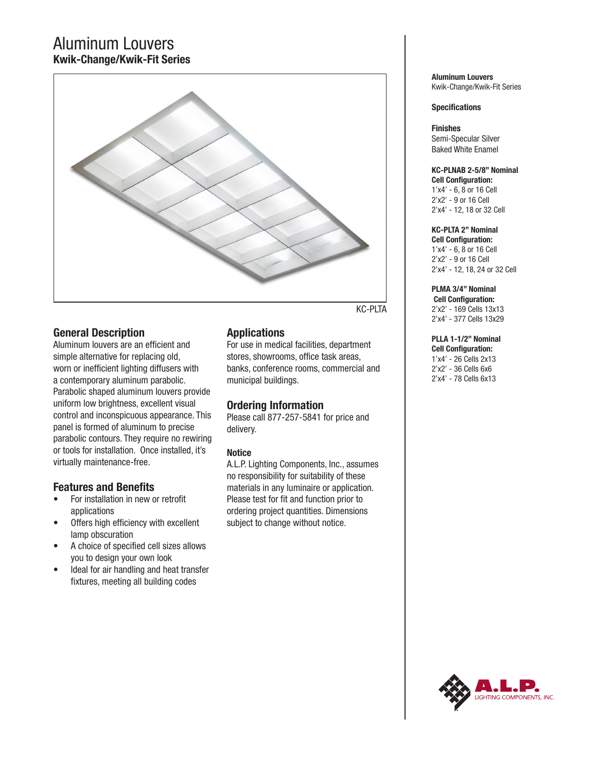# Aluminum Louvers **Kwik-Change/Kwik-Fit Series**



**General Description**

Aluminum louvers are an efficient and simple alternative for replacing old, worn or inefficient lighting diffusers with a contemporary aluminum parabolic. Parabolic shaped aluminum louvers provide uniform low brightness, excellent visual control and inconspicuous appearance. This panel is formed of aluminum to precise parabolic contours. They require no rewiring or tools for installation. Once installed, it's virtually maintenance-free.

# **Features and Benefits**

- For installation in new or retrofit applications
- Offers high efficiency with excellent lamp obscuration
- A choice of specified cell sizes allows you to design your own look
- Ideal for air handling and heat transfer fixtures, meeting all building codes

# **Applications**

For use in medical facilities, department stores, showrooms, office task areas, banks, conference rooms, commercial and municipal buildings.

# **Ordering Information**

Please call 877-257-5841 for price and delivery.

## **Notice**

A.L.P. Lighting Components, Inc., assumes no responsibility for suitability of these materials in any luminaire or application. Please test for fit and function prior to ordering project quantities. Dimensions subject to change without notice.

**Aluminum Louvers** Kwik-Change/Kwik-Fit Series

## **Specifications**

**Finishes** Semi-Specular Silver Baked White Enamel

### **KC-PLNAB 2-5/8" Nominal Cell Configuration:**

1'x4' - 6, 8 or 16 Cell 2'x2' - 9 or 16 Cell 2'x4' - 12, 18 or 32 Cell

## **KC-PLTA 2" Nominal**

**Cell Configuration:** 1'x4' - 6, 8 or 16 Cell 2'x2' - 9 or 16 Cell 2'x4' - 12, 18, 24 or 32 Cell

# **PLMA 3/4" Nominal**

 **Cell Configuration:** 2'x2' - 169 Cells 13x13 2'x4' - 377 Cells 13x29

# **PLLA 1-1/2" Nominal**

**Cell Configuration:** 1'x4' - 26 Cells 2x13 2'x2' - 36 Cells 6x6 2'x4' - 78 Cells 6x13